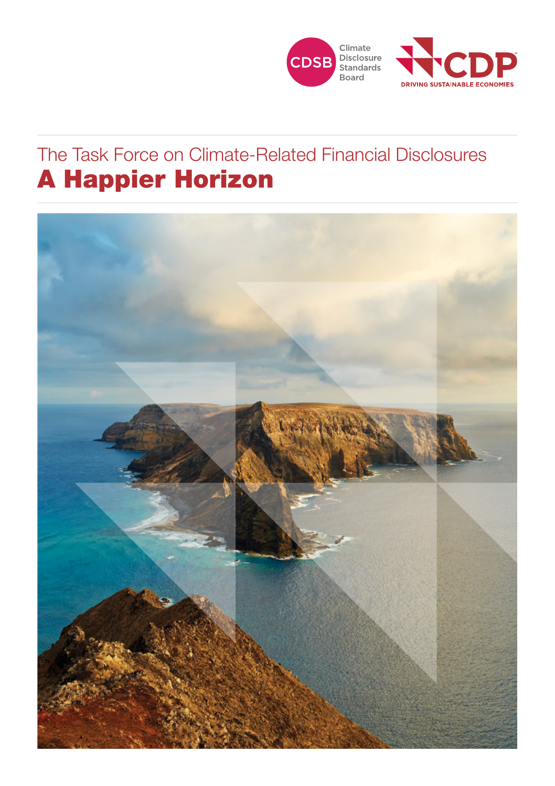



## A Happier Horizon The Task Force on Climate-Related Financial Disclosures

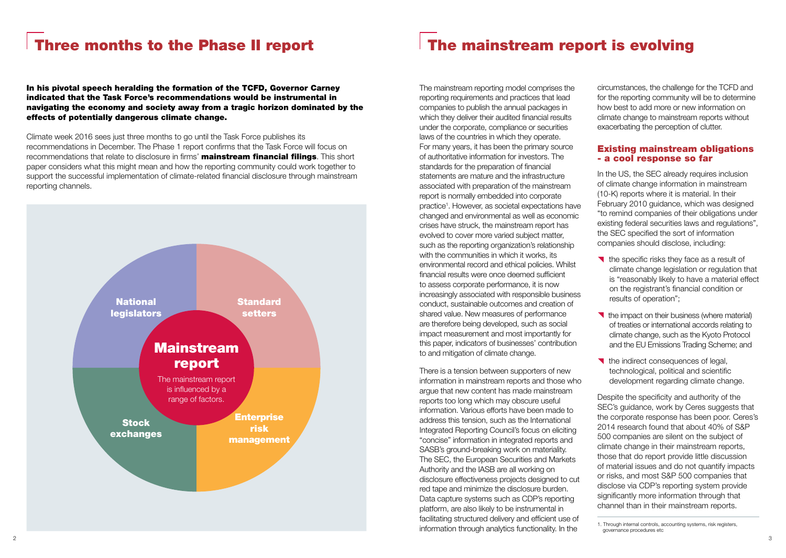# Three months to the Phase II report

In his pivotal speech heralding the formation of the TCFD, Governor Carney indicated that the Task Force's recommendations would be instrumental in navigating the economy and society away from a tragic horizon dominated by the effects of potentially dangerous climate change.

Climate week 2016 sees just three months to go until the Task Force publishes its recommendations in December. The Phase 1 report confirms that the Task Force will focus on recommendations that relate to disclosure in firms' **mainstream financial filings**. This short paper considers what this might mean and how the reporting community could work together to support the successful implementation of climate-related financial disclosure through mainstream reporting channels.



# The mainstream report is evolving

The mainstream reporting model comprises the reporting requirements and practices that lead companies to publish the annual packages in which they deliver their audited financial results under the corporate, compliance or securities laws of the countries in which they operate. For many years, it has been the primary source of authoritative information for investors. The standards for the preparation of financial statements are mature and the infrastructure associated with preparation of the mainstream report is normally embedded into corporate practice<sup>1</sup>. However, as societal expectations have changed and environmental as well as economic crises have struck, the mainstream report has evolved to cover more varied subject matter, such as the reporting organization's relationship with the communities in which it works, its environmental record and ethical policies. Whilst financial results were once deemed sufficient to assess corporate performance, it is now increasingly associated with responsible business conduct, sustainable outcomes and creation of shared value. New measures of performance are therefore being developed, such as social impact measurement and most importantly for this paper, indicators of businesses' contribution to and mitigation of climate change.

There is a tension between supporters of new information in mainstream reports and those who argue that new content has made mainstream reports too long which may obscure useful information. Various efforts have been made to address this tension, such as the International Integrated Reporting Council's focus on eliciting "concise" information in integrated reports and SASB's ground-breaking work on materiality. The SEC, the European Securities and Markets Authority and the IASB are all working on disclosure effectiveness projects designed to cut red tape and minimize the disclosure burden. Data capture systems such as CDP's reporting platform, are also likely to be instrumental in facilitating structured delivery and efficient use of information through analytics functionality. In the

circumstances, the challenge for the TCFD and for the reporting community will be to determine how best to add more or new information on climate change to mainstream reports without exacerbating the perception of clutter.

#### Existing mainstream obligations - a cool response so far

In the US, the SEC already requires inclusion of climate change information in mainstream (10-K) reports where it is material. In their February 2010 guidance, which was designed "to remind companies of their obligations under existing federal securities laws and regulations", the SEC specified the sort of information companies should disclose, including:

- The specific risks they face as a result of climate change legislation or regulation that is "reasonably likely to have a material effect on the registrant's financial condition or results of operation";
- $\blacktriangleright$  the impact on their business (where material) of treaties or international accords relating to climate change, such as the Kyoto Protocol and the EU Emissions Trading Scheme; and
- The indirect consequences of legal, technological, political and scientific development regarding climate change.

Despite the specificity and authority of the SEC's guidance, work by Ceres suggests that the corporate response has been poor. Ceres's 2014 research found that about 40% of S&P 500 companies are silent on the subject of climate change in their mainstream reports, those that do report provide little discussion of material issues and do not quantify impacts or risks, and most S&P 500 companies that disclose via CDP's reporting system provide significantly more information through that channel than in their mainstream reports.

<sup>1.</sup> Through internal controls, accounting systems, risk registers, governance procedures etc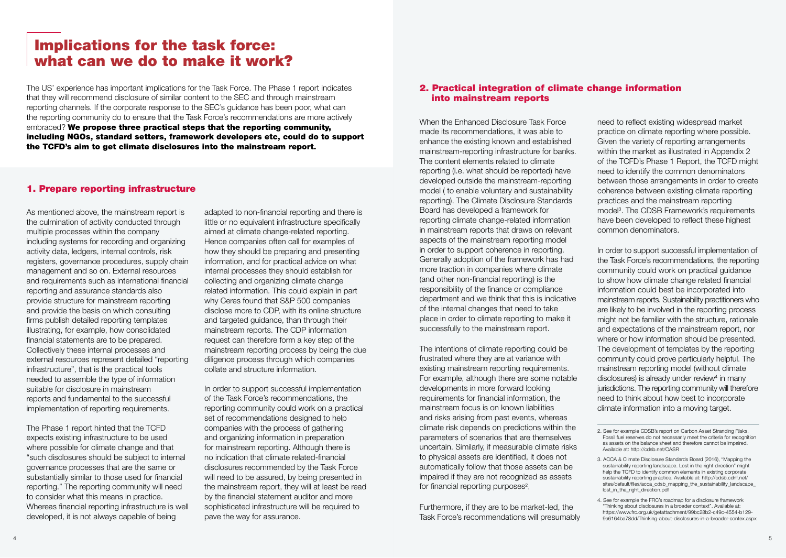### Implications for the task force: what can we do to make it work?

The US' experience has important implications for the Task Force. The Phase 1 report indicates that they will recommend disclosure of similar content to the SEC and through mainstream reporting channels. If the corporate response to the SEC's guidance has been poor, what can the reporting community do to ensure that the Task Force's recommendations are more actively embraced? We propose three practical steps that the reporting community, including NGOs, standard setters, framework developers etc, could do to support the TCFD's aim to get climate disclosures into the mainstream report.

#### 1. Prepare reporting infrastructure

As mentioned above, the mainstream report is the culmination of activity conducted through multiple processes within the company including systems for recording and organizing activity data, ledgers, internal controls, risk registers, governance procedures, supply chain management and so on. External resources and requirements such as international financial reporting and assurance standards also provide structure for mainstream reporting and provide the basis on which consulting firms publish detailed reporting templates illustrating, for example, how consolidated financial statements are to be prepared. Collectively these internal processes and external resources represent detailed "reporting infrastructure", that is the practical tools needed to assemble the type of information suitable for disclosure in mainstream reports and fundamental to the successful implementation of reporting requirements.

The Phase 1 report hinted that the TCFD expects existing infrastructure to be used where possible for climate change and that "such disclosures should be subject to internal governance processes that are the same or substantially similar to those used for financial reporting." The reporting community will need to consider what this means in practice. Whereas financial reporting infrastructure is well developed, it is not always capable of being

adapted to non-financial reporting and there is little or no equivalent infrastructure specifically aimed at climate change-related reporting. Hence companies often call for examples of how they should be preparing and presenting information, and for practical advice on what internal processes they should establish for collecting and organizing climate change related information. This could explain in part why Ceres found that S&P 500 companies disclose more to CDP, with its online structure and targeted guidance, than through their mainstream reports. The CDP information request can therefore form a key step of the mainstream reporting process by being the due diligence process through which companies collate and structure information.

In order to support successful implementation of the Task Force's recommendations, the reporting community could work on a practical set of recommendations designed to help companies with the process of gathering and organizing information in preparation for mainstream reporting. Although there is no indication that climate related-financial disclosures recommended by the Task Force will need to be assured, by being presented in the mainstream report, they will at least be read by the financial statement auditor and more sophisticated infrastructure will be required to pave the way for assurance.

#### 2. Practical integration of climate change information into mainstream reports

When the Enhanced Disclosure Task Force made its recommendations, it was able to enhance the existing known and established mainstream-reporting infrastructure for banks. The content elements related to climate reporting (i.e. what should be reported) have developed outside the mainstream-reporting model ( to enable voluntary and sustainability reporting). The Climate Disclosure Standards Board has developed a framework for reporting climate change-related information in mainstream reports that draws on relevant aspects of the mainstream reporting model in order to support coherence in reporting. Generally adoption of the framework has had more traction in companies where climate (and other non-financial reporting) is the responsibility of the finance or compliance department and we think that this is indicative of the internal changes that need to take place in order to climate reporting to make it successfully to the mainstream report.

The intentions of climate reporting could be frustrated where they are at variance with existing mainstream reporting requirements. For example, although there are some notable developments in more forward looking requirements for financial information, the mainstream focus is on known liabilities and risks arising from past events, whereas climate risk depends on predictions within the parameters of scenarios that are themselves uncertain. Similarly, if measurable climate risks to physical assets are identified, it does not automatically follow that those assets can be impaired if they are not recognized as assets for financial reporting purposes<sup>2</sup>.

Furthermore, if they are to be market-led, the Task Force's recommendations will presumably need to reflect existing widespread market practice on climate reporting where possible. Given the variety of reporting arrangements within the market as illustrated in Appendix 2 of the TCFD's Phase 1 Report, the TCFD might need to identify the common denominators between those arrangements in order to create coherence between existing climate reporting practices and the mainstream reporting model<sup>3</sup>. The CDSB Framework's requirements have been developed to reflect these highest common denominators.

In order to support successful implementation of the Task Force's recommendations, the reporting community could work on practical guidance to show how climate change related financial information could best be incorporated into mainstream reports. Sustainability practitioners who are likely to be involved in the reporting process might not be familiar with the structure, rationale and expectations of the mainstream report, nor where or how information should be presented. The development of templates by the reporting community could prove particularly helpful. The mainstream reporting model (without climate disclosures) is already under review<sup>4</sup> in many jurisdictions. The reporting community will therefore need to think about how best to incorporate climate information into a moving target.

4. See for example the FRC's roadmap for a disclosure framework "Thinking about disclosures in a broader context". Available at: [https://www.frc.org.uk/getattachment/99bc28b2-c49c-4554-b129-](https://www.frc.org.uk/getattachment/99bc28b2-c49c-4554-b129-9a6164ba78dd/Thinking-about-disclosures-in-a-broader-contex.aspx) [9a6164ba78dd/Thinking-about-disclosures-in-a-broader-contex.aspx](https://www.frc.org.uk/getattachment/99bc28b2-c49c-4554-b129-9a6164ba78dd/Thinking-about-disclosures-in-a-broader-contex.aspx)

<sup>2.</sup> See for example CDSB's report on Carbon Asset Stranding Risks. Fossil fuel reserves do not necessarily meet the criteria for recognition as assets on the balance sheet and therefore cannot be impaired. Available at:<http://cdsb.net/CASR>

<sup>3.</sup> ACCA & Climate Disclosure Standards Board (2016), "Mapping the sustainability reporting landscape. Lost in the right direction" might help the TCFD to identify common elements in existing corporate sustainability reporting practice. Available at: [http://cdsb.cdnf.net/](http://cdsb.cdnf.net/sites/default/files/acca_cdsb_mapping_the_sustainability_landscape_lost_in_the_right_direction.pdf ) sites/default/files/acca\_cdsb\_mapping\_the\_sustainability\_landscape [lost\\_in\\_the\\_right\\_direction.pdf](http://cdsb.cdnf.net/sites/default/files/acca_cdsb_mapping_the_sustainability_landscape_lost_in_the_right_direction.pdf )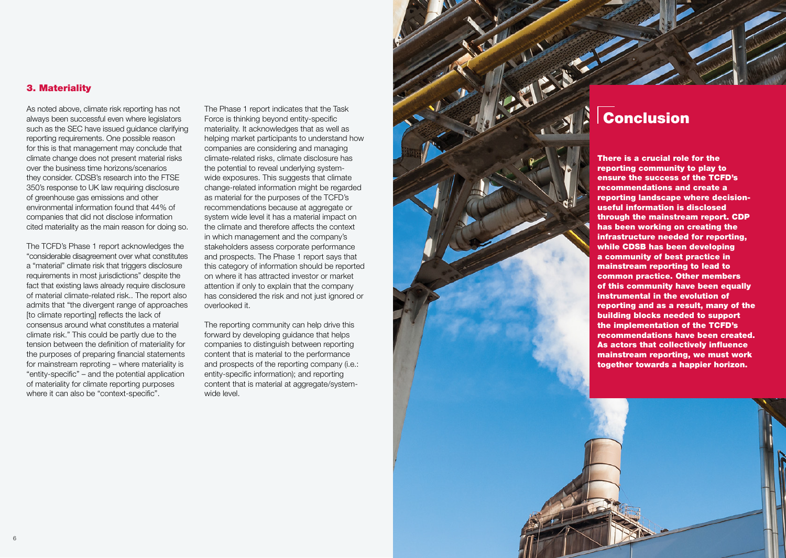#### 3. Materiality

As noted above, climate risk reporting has not always been successful even where legislators such as the SEC have issued guidance clarifying reporting requirements. One possible reason for this is that management may conclude that climate change does not present material risks over the business time horizons/scenarios they consider. CDSB's research into the FTSE 350's response to UK law requiring disclosure of greenhouse gas emissions and other environmental information found that 44% of companies that did not disclose information cited materiality as the main reason for doing so.

The TCFD's Phase 1 report acknowledges the "considerable disagreement over what constitutes a "material" climate risk that triggers disclosure requirements in most jurisdictions" despite the fact that existing laws already require disclosure of material climate-related risk.. The report also admits that "the divergent range of approaches [to climate reporting] reflects the lack of consensus around what constitutes a material climate risk." This could be partly due to the tension between the definition of materiality for the purposes of preparing financial statements for mainstream reproting – where materiality is "entity-specific" – and the potential application of materiality for climate reporting purposes where it can also be "context-specific".

The Phase 1 report indicates that the Task Force is thinking beyond entity-specific materiality. It acknowledges that as well as helping market participants to understand how companies are considering and managing climate-related risks, climate disclosure has the potential to reveal underlying systemwide exposures. This suggests that climate change-related information might be regarded as material for the purposes of the TCFD's recommendations because at aggregate or system wide level it has a material impact on the climate and therefore affects the context in which management and the company's stakeholders assess corporate performance and prospects. The Phase 1 report says that this category of information should be reported on where it has attracted investor or market attention if only to explain that the company has considered the risk and not just ignored or overlooked it.

The reporting community can help drive this forward by developing guidance that helps companies to distinguish between reporting content that is material to the performance and prospects of the reporting company (i.e.: entity-specific information); and reporting content that is material at aggregate/systemwide level.